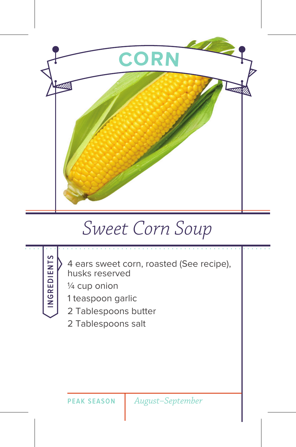

## *Sweet Corn Soup*



4 ears sweet corn, roasted (See recipe), husks reserved

¼ cup onion

1 teaspoon garlic

2 Tablespoons butter

2 Tablespoons salt